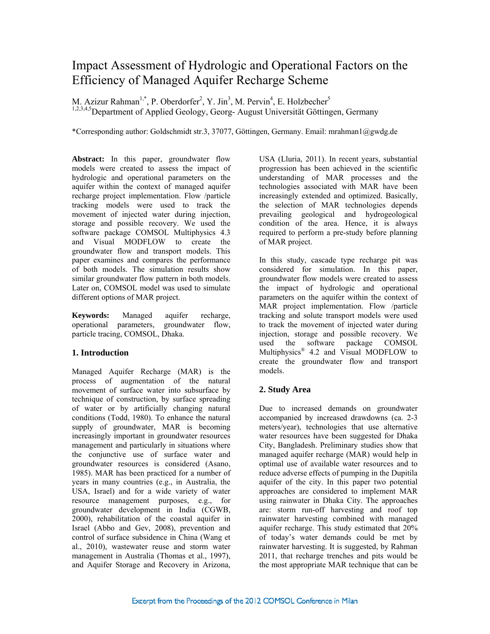# Impact Assessment of Hydrologic and Operational Factors on the Efficiency of Managed Aquifer Recharge Scheme

M. Azizur Rahman<sup>1,\*</sup>, P. Oberdorfer<sup>2</sup>, Y. Jin<sup>3</sup>, M. Pervin<sup>4</sup>, E. Holzbecher<sup>5</sup> <sup>1,2,3,4,5</sup>Department of Applied Geology, Georg- August Universität Göttingen, Germany

\*Corresponding author: Goldschmidt str.3, 37077, Göttingen, Germany. Email: mrahman1@gwdg.de

**Abstract:** In this paper, groundwater flow models were created to assess the impact of hydrologic and operational parameters on the aquifer within the context of managed aquifer recharge project implementation. Flow /particle tracking models were used to track the movement of injected water during injection, storage and possible recovery. We used the software package COMSOL Multiphysics 4.3 and Visual MODFLOW to create the groundwater flow and transport models. This paper examines and compares the performance of both models. The simulation results show similar groundwater flow pattern in both models. Later on, COMSOL model was used to simulate different options of MAR project.

**Keywords:** Managed aquifer recharge, operational parameters, groundwater flow, particle tracing, COMSOL, Dhaka.

# **1. Introduction**

Managed Aquifer Recharge (MAR) is the process of augmentation of the natural movement of surface water into subsurface by technique of construction, by surface spreading of water or by artificially changing natural conditions (Todd, 1980). To enhance the natural supply of groundwater, MAR is becoming increasingly important in groundwater resources management and particularly in situations where the conjunctive use of surface water and groundwater resources is considered (Asano, 1985). MAR has been practiced for a number of years in many countries (e.g., in Australia, the USA, Israel) and for a wide variety of water resource management purposes, e.g., for groundwater development in India (CGWB, 2000), rehabilitation of the coastal aquifer in Israel (Abbo and Gev, 2008), prevention and control of surface subsidence in China (Wang et al., 2010), wastewater reuse and storm water management in Australia (Thomas et al., 1997), and Aquifer Storage and Recovery in Arizona,

USA (Lluria, 2011). In recent years, substantial progression has been achieved in the scientific understanding of MAR processes and the technologies associated with MAR have been increasingly extended and optimized. Basically, the selection of MAR technologies depends prevailing geological and hydrogeological condition of the area. Hence, it is always required to perform a pre-study before planning of MAR project.

In this study, cascade type recharge pit was considered for simulation. In this paper, groundwater flow models were created to assess the impact of hydrologic and operational parameters on the aquifer within the context of MAR project implementation. Flow /particle tracking and solute transport models were used to track the movement of injected water during injection, storage and possible recovery. We used the software package COMSOL Multiphysics® 4.2 and Visual MODFLOW to create the groundwater flow and transport models.

# **2. Study Area**

Due to increased demands on groundwater accompanied by increased drawdowns (ca. 2-3 meters/year), technologies that use alternative water resources have been suggested for Dhaka City, Bangladesh. Preliminary studies show that managed aquifer recharge (MAR) would help in optimal use of available water resources and to reduce adverse effects of pumping in the Dupitila aquifer of the city. In this paper two potential approaches are considered to implement MAR using rainwater in Dhaka City. The approaches are: storm run-off harvesting and roof top rainwater harvesting combined with managed aquifer recharge. This study estimated that 20% of today's water demands could be met by rainwater harvesting. It is suggested, by Rahman 2011, that recharge trenches and pits would be the most appropriate MAR technique that can be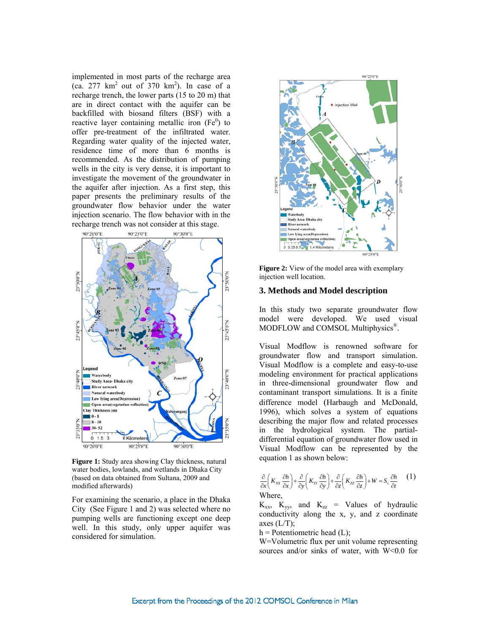implemented in most parts of the recharge area  $(ca. 277 km<sup>2</sup> out of 370 km<sup>2</sup>). In case of a$ recharge trench, the lower parts (15 to 20 m) that are in direct contact with the aquifer can be backfilled with biosand filters (BSF) with a reactive layer containing metallic iron  $(Fe<sup>0</sup>)$  to offer pre-treatment of the infiltrated water. Regarding water quality of the injected water, residence time of more than 6 months is recommended. As the distribution of pumping wells in the city is very dense, it is important to investigate the movement of the groundwater in the aquifer after injection. As a first step, this paper presents the preliminary results of the groundwater flow behavior under the water injection scenario. The flow behavior with in the recharge trench was not consider at this stage.



**Figure 1:** Study area showing Clay thickness, natural water bodies, lowlands, and wetlands in Dhaka City (based on data obtained from Sultana, 2009 and modified afterwards)

For examining the scenario, a place in the Dhaka City (See Figure 1 and 2) was selected where no pumping wells are functioning except one deep well. In this study, only upper aquifer was considered for simulation.



**Figure 2:** View of the model area with exemplary injection well location.

#### **3. Methods and Model description**

In this study two separate groundwater flow model were developed. We used visual MODFLOW and COMSOL Multiphysics<sup>®</sup>.

Visual Modflow is renowned software for groundwater flow and transport simulation. Visual Modflow is a complete and easy-to-use modeling environment for practical applications in three-dimensional groundwater flow and contaminant transport simulations. It is a finite difference model (Harbaugh and McDonald, 1996), which solves a system of equations describing the major flow and related processes in the hydrological system. The partialdifferential equation of groundwater flow used in Visual Modflow can be represented by the equation 1 as shown below:

$$
\frac{\partial}{\partial x}\left(K_{xx}\frac{\partial h}{\partial x}\right) + \frac{\partial}{\partial y}\left(K_{yy}\frac{\partial h}{\partial y}\right) + \frac{\partial}{\partial z}\left(K_{zz}\frac{\partial h}{\partial z}\right) + W = S_s\frac{\partial h}{\partial t} \tag{1}
$$
\nWhere.

 $K_{xx}$ ,  $K_{yy}$ , and  $K_{zz}$  = Values of hydraulic conductivity along the x, y, and z coordinate axes  $(L/T)$ ;

 $h =$  Potentiometric head (L);

W=Volumetric flux per unit volume representing sources and/or sinks of water, with W<0.0 for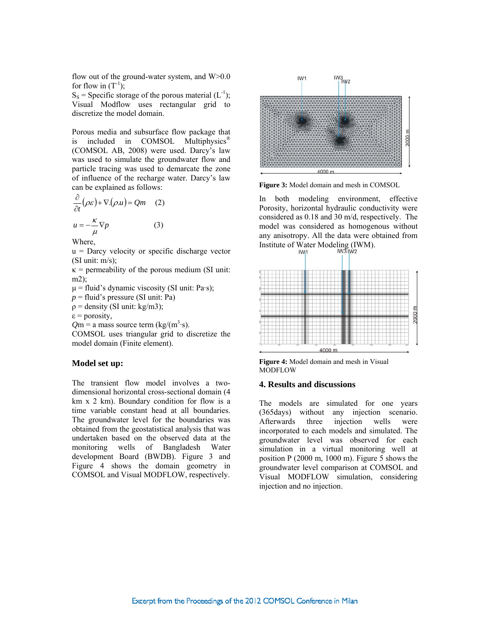flow out of the ground-water system, and  $W>0.0$ for flow in  $(T^{-1})$ ;

 $S_s$  = Specific storage of the porous material  $(L^{-1})$ ; Visual Modflow uses rectangular grid to discretize the model domain.

Porous media and subsurface flow package that is included in COMSOL Multiphysics<sup>®</sup> (COMSOL AB, 2008) were used. Darcy's law was used to simulate the groundwater flow and particle tracing was used to demarcate the zone of influence of the recharge water. Darcy's law can be explained as follows:

$$
\frac{\partial}{\partial t} (\rho \varepsilon) + \nabla \cdot (\rho u) = Qm \quad (2)
$$
  
 
$$
u = -\frac{\kappa}{2} \nabla p \quad (3)
$$

$$
u = -\frac{\kappa}{\mu} \nabla p
$$

Where,

 $u =$  Darcy velocity or specific discharge vector (SI unit:  $m/s$ );

 $\kappa$  = permeability of the porous medium (SI unit: m2);

 $\mu$  = fluid's dynamic viscosity (SI unit: Pa·s);

 $p =$  fluid's pressure (SI unit: Pa)

 $p =$  density (SI unit: kg/m3);

 $\epsilon$  = porosity,

 $Qm = a$  mass source term (kg/(m<sup>3</sup>·s).

COMSOL uses triangular grid to discretize the model domain (Finite element).

#### **Model set up:**

The transient flow model involves a twodimensional horizontal cross-sectional domain (4 km x 2 km). Boundary condition for flow is a time variable constant head at all boundaries. The groundwater level for the boundaries was obtained from the geostatistical analysis that was undertaken based on the observed data at the monitoring wells of Bangladesh Water development Board (BWDB). Figure 3 and Figure 4 shows the domain geometry in COMSOL and Visual MODFLOW, respectively.



**Figure 3:** Model domain and mesh in COMSOL

In both modeling environment, effective Porosity, horizontal hydraulic conductivity were considered as 0.18 and 30 m/d, respectively. The model was considered as homogenous without any anisotropy. All the data were obtained from Institute of Water Modeling (IWM).<br>IW3 IW2



**Figure 4:** Model domain and mesh in Visual MODFLOW

#### **4. Results and discussions**

The models are simulated for one years (365days) without any injection scenario. Afterwards three injection wells were incorporated to each models and simulated. The groundwater level was observed for each simulation in a virtual monitoring well at position P (2000 m, 1000 m). Figure 5 shows the groundwater level comparison at COMSOL and Visual MODFLOW simulation, considering injection and no injection.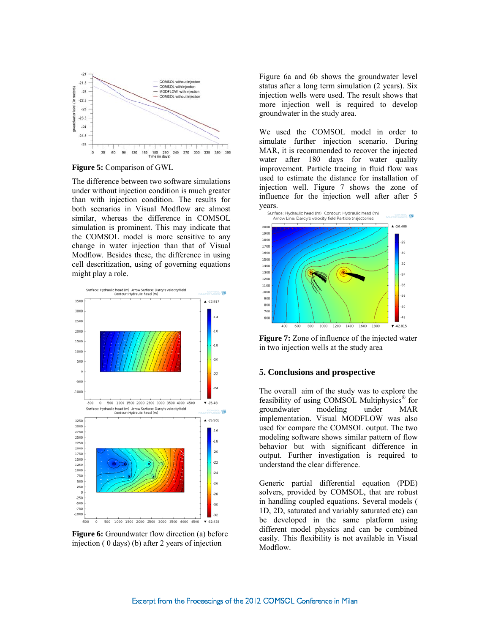

**Figure 5:** Comparison of GWL

The difference between two software simulations under without injection condition is much greater than with injection condition. The results for both scenarios in Visual Modflow are almost similar, whereas the difference in COMSOL simulation is prominent. This may indicate that the COMSOL model is more sensitive to any change in water injection than that of Visual Modflow. Besides these, the difference in using cell descritization, using of governing equations might play a role.



**Figure 6:** Groundwater flow direction (a) before injection ( 0 days) (b) after 2 years of injection

Figure 6a and 6b shows the groundwater level status after a long term simulation (2 years). Six injection wells were used. The result shows that more injection well is required to develop groundwater in the study area.

We used the COMSOL model in order to simulate further injection scenario. During MAR, it is recommended to recover the injected water after 180 days for water quality improvement. Particle tracing in fluid flow was used to estimate the distance for installation of injection well. Figure 7 shows the zone of influence for the injection well after after 5 **years.**<br>Surface: Hydraulic head (m). Contour: Hydraulic head (m).



**Figure 7:** Zone of influence of the injected water in two injection wells at the study area

## **5. Conclusions and prospective**

The overall aim of the study was to explore the feasibility of using COMSOL Multiphysics® for groundwater modeling under MAR implementation. Visual MODFLOW was also used for compare the COMSOL output. The two modeling software shows similar pattern of flow behavior but with significant difference in output. Further investigation is required to understand the clear difference.

Generic partial differential equation (PDE) solvers, provided by COMSOL, that are robust in handling coupled equations. Several models ( 1D, 2D, saturated and variably saturated etc) can be developed in the same platform using different model physics and can be combined easily. This flexibility is not available in Visual Modflow.